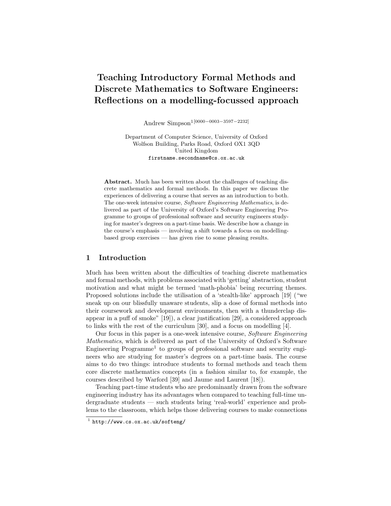# Teaching Introductory Formal Methods and Discrete Mathematics to Software Engineers: Reflections on a modelling-focussed approach

Andrew Simpson1[0000−0003−3597−2232]

Department of Computer Science, University of Oxford Wolfson Building, Parks Road, Oxford OX1 3QD United Kingdom firstname.secondname@cs.ox.ac.uk

Abstract. Much has been written about the challenges of teaching discrete mathematics and formal methods. In this paper we discuss the experiences of delivering a course that serves as an introduction to both. The one-week intensive course, Software Engineering Mathematics, is delivered as part of the University of Oxford's Software Engineering Programme to groups of professional software and security engineers studying for master's degrees on a part-time basis. We describe how a change in the course's emphasis — involving a shift towards a focus on modellingbased group exercises — has given rise to some pleasing results.

# 1 Introduction

Much has been written about the difficulties of teaching discrete mathematics and formal methods, with problems associated with 'getting' abstraction, student motivation and what might be termed 'math-phobia' being recurring themes. Proposed solutions include the utilisation of a 'stealth-like' approach [19] ("we sneak up on our blissfully unaware students, slip a dose of formal methods into their coursework and development environments, then with a thunderclap disappear in a puff of smoke"  $[19]$ ), a clear justification  $[29]$ , a considered approach to links with the rest of the curriculum [30], and a focus on modelling [4].

Our focus in this paper is a one-week intensive course, Software Engineering Mathematics, which is delivered as part of the University of Oxford's Software Engineering Programme<sup>1</sup> to groups of professional software and security engineers who are studying for master's degrees on a part-time basis. The course aims to do two things: introduce students to formal methods and teach them core discrete mathematics concepts (in a fashion similar to, for example, the courses described by Warford [39] and Jaume and Laurent [18]).

Teaching part-time students who are predominantly drawn from the software engineering industry has its advantages when compared to teaching full-time undergraduate students — such students bring 'real-world' experience and problems to the classroom, which helps those delivering courses to make connections

 $^1$  http://www.cs.ox.ac.uk/softeng/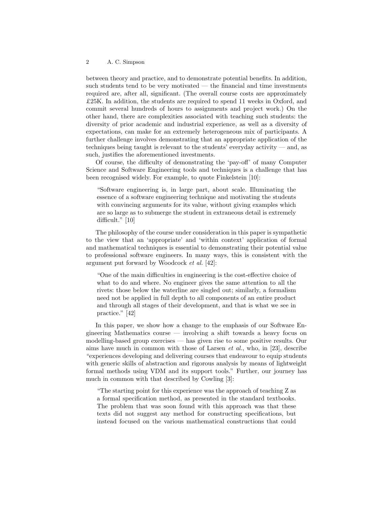between theory and practice, and to demonstrate potential benefits. In addition, such students tend to be very motivated — the financial and time investments required are, after all, significant. (The overall course costs are approximately £25K. In addition, the students are required to spend 11 weeks in Oxford, and commit several hundreds of hours to assignments and project work.) On the other hand, there are complexities associated with teaching such students: the diversity of prior academic and industrial experience, as well as a diversity of expectations, can make for an extremely heterogeneous mix of participants. A further challenge involves demonstrating that an appropriate application of the techniques being taught is relevant to the students' everyday activity — and, as such, justifies the aforementioned investments.

Of course, the difficulty of demonstrating the 'pay-off' of many Computer Science and Software Engineering tools and techniques is a challenge that has been recognised widely. For example, to quote Finkelstein [10]:

"Software engineering is, in large part, about scale. Illuminating the essence of a software engineering technique and motivating the students with convincing arguments for its value, without giving examples which are so large as to submerge the student in extraneous detail is extremely difficult." [10]

The philosophy of the course under consideration in this paper is sympathetic to the view that an 'appropriate' and 'within context' application of formal and mathematical techniques is essential to demonstrating their potential value to professional software engineers. In many ways, this is consistent with the argument put forward by Woodcock et al. [42]:

"One of the main difficulties in engineering is the cost-effective choice of what to do and where. No engineer gives the same attention to all the rivets: those below the waterline are singled out; similarly, a formalism need not be applied in full depth to all components of an entire product and through all stages of their development, and that is what we see in practice." [42]

In this paper, we show how a change to the emphasis of our Software Engineering Mathematics course — involving a shift towards a heavy focus on modelling-based group exercises — has given rise to some positive results. Our aims have much in common with those of Larsen  $et \ al.$ , who, in [23], describe "experiences developing and delivering courses that endeavour to equip students with generic skills of abstraction and rigorous analysis by means of lightweight formal methods using VDM and its support tools." Further, our journey has much in common with that described by Cowling [3]:

"The starting point for this experience was the approach of teaching Z as a formal specification method, as presented in the standard textbooks. The problem that was soon found with this approach was that these texts did not suggest any method for constructing specifications, but instead focused on the various mathematical constructions that could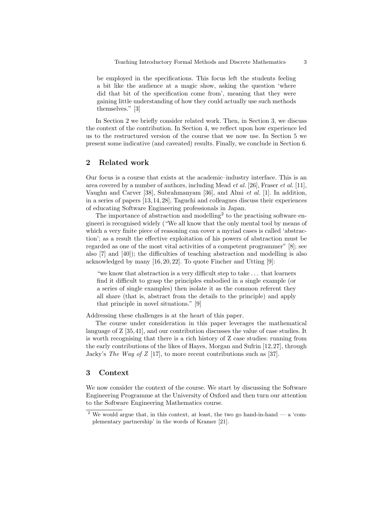be employed in the specifications. This focus left the students feeling a bit like the audience at a magic show, asking the question 'where did that bit of the specification come from', meaning that they were gaining little understanding of how they could actually use such methods themselves." [3]

In Section 2 we briefly consider related work. Then, in Section 3, we discuss the context of the contribution. In Section 4, we reflect upon how experience led us to the restructured version of the course that we now use. In Section 5 we present some indicative (and caveated) results. Finally, we conclude in Section 6.

# 2 Related work

Our focus is a course that exists at the academic–industry interface. This is an area covered by a number of authors, including Mead *et al.* [26], Fraser *et al.* [11], Vaughn and Carver [38], Subrahmanyam [36], and Almi et al. [1]. In addition, in a series of papers [13, 14, 28], Taguchi and colleagues discuss their experiences of educating Software Engineering professionals in Japan.

The importance of abstraction and modelling<sup>2</sup> to the practising software engineeri is recognised widely ("We all know that the only mental tool by means of which a very finite piece of reasoning can cover a myriad cases is called 'abstraction'; as a result the effective exploitation of his powers of abstraction must be regarded as one of the most vital activities of a competent programmer" [8]; see also [7] and [40]); the difficulties of teaching abstraction and modelling is also acknowledged by many [16, 20, 22]. To quote Fincher and Utting [9]:

"we know that abstraction is a very difficult step to take . . . that learners find it difficult to grasp the principles embodied in a single example (or a series of single examples) then isolate it as the common referent they all share (that is, abstract from the details to the principle) and apply that principle in novel situations." [9]

Addressing these challenges is at the heart of this paper.

The course under consideration in this paper leverages the mathematical language of Z [35,41], and our contribution discusses the value of case studies. It is worth recognising that there is a rich history of Z case studies: running from the early contributions of the likes of Hayes, Morgan and Sufrin [12,27], through Jacky's The Way of Z [17], to more recent contributions such as [37].

## 3 Context

We now consider the context of the course. We start by discussing the Software Engineering Programme at the University of Oxford and then turn our attention to the Software Engineering Mathematics course.

 $2$  We would argue that, in this context, at least, the two go hand-in-hand  $-$  a 'complementary partnership' in the words of Kramer [21].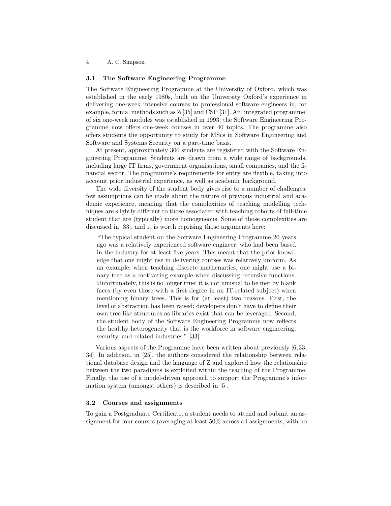### 3.1 The Software Engineering Programme

The Software Engineering Programme at the University of Oxford, which was established in the early 1980s, built on the University Oxford's experience in delivering one-week intensive courses to professional software engineers in, for example, formal methods such as Z [35] and CSP [31]. An 'integrated programme' of six one-week modules was established in 1993; the Software Engineering Programme now offers one-week courses in over 40 topics. The programme also offers students the opportunity to study for MScs in Software Engineering and Software and Systems Security on a part-time basis.

At present, approximately 300 students are registered with the Software Engineering Programme. Students are drawn from a wide range of backgrounds, including large IT firms, government organisations, small companies, and the financial sector. The programme's requirements for entry are flexible, taking into account prior industrial experience, as well as academic background.

The wide diversity of the student body gives rise to a number of challenges: few assumptions can be made about the nature of previous industrial and academic experience, meaning that the complexities of teaching modelling techniques are slightly different to those associated with teaching cohorts of full-time student that are (typically) more homogeneous. Some of those complexities are discussed in [33], and it is worth reprising those arguments here:

"The typical student on the Software Engineering Programme 20 years ago was a relatively experienced software engineer, who had been based in the industry for at least five years. This meant that the prior knowledge that one might use in delivering courses was relatively uniform. As an example, when teaching discrete mathematics, one might use a binary tree as a motivating example when discussing recursive functions. Unfortunately, this is no longer true: it is not unusual to be met by blank faces (by even those with a first degree in an IT-related subject) when mentioning binary trees. This is for (at least) two reasons. First, the level of abstraction has been raised: developers don't have to define their own tree-like structures as libraries exist that can be leveraged. Second, the student body of the Software Engineering Programme now reflects the healthy heterogeneity that is the workforce in software engineering, security, and related industries." [33]

Various aspects of the Programme have been written about previously [6,33, 34]. In addition, in [25], the authors considered the relationship between relational database design and the language of Z and explored how the relationship between the two paradigms is exploited within the teaching of the Programme. Finally, the use of a model-driven approach to support the Programme's information system (amongst others) is described in [5].

#### 3.2 Courses and assignments

To gain a Postgraduate Certificate, a student needs to attend and submit an assignment for four courses (averaging at least 50% across all assignments, with no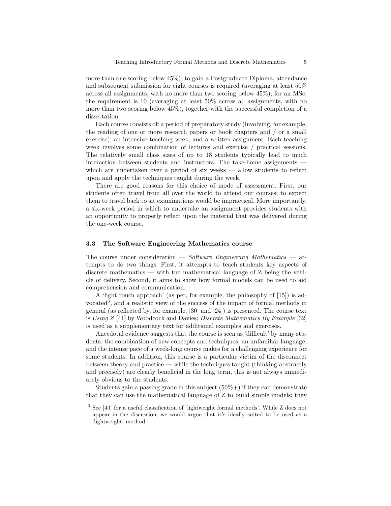more than one scoring below 45%); to gain a Postgraduate Diploma, attendance and subsequent submission for eight courses is required (averaging at least 50% across all assignments, with no more than two scoring below 45%); for an MSc, the requirement is 10 (averaging at least 50% across all assignments, with no more than two scoring below 45%), together with the successful completion of a dissertation.

Each course consists of: a period of preparatory study (involving, for example, the reading of one or more research papers or book chapters and / or a small exercise); an intensive teaching week; and a written assignment. Each teaching week involves some combination of lectures and exercise / practical sessions. The relatively small class sizes of up to 18 students typically lead to much interaction between students and instructors. The take-home assignments which are undertaken over a period of six weeks — allow students to reflect upon and apply the techniques taught during the week.

There are good reasons for this choice of mode of assessment. First, our students often travel from all over the world to attend our courses; to expect them to travel back to sit examinations would be impractical. More importantly, a six-week period in which to undertake an assignment provides students with an opportunity to properly reflect upon the material that was delivered during the one-week course.

#### 3.3 The Software Engineering Mathematics course

The course under consideration — Software Engineering Mathematics — attempts to do two things. First, it attempts to teach students key aspects of discrete mathematics — with the mathematical language of Z being the vehicle of delivery. Second, it aims to show how formal models can be used to aid comprehension and communication.

A 'light touch approach' (as per, for example, the philosophy of [15]) is advocated<sup>3</sup>, and a realistic view of the success of the impact of formal methods in general (as reflected by, for example, [30] and [24]) is presented. The course text is Using Z [41] by Woodcock and Davies; Discrete Mathematics By Example [32] is used as a supplementary text for additional examples and exercises.

Anecdotal evidence suggests that the course is seen as 'difficult' by many students: the combination of new concepts and techniques, an unfamiliar language, and the intense pace of a week-long course makes for a challenging experience for some students. In addition, this course is a particular victim of the disconnect between theory and practice — while the techniques taught (thinking abstractly and precisely) are clearly beneficial in the long term, this is not always immediately obvious to the students.

Students gain a passing grade in this subject  $(50\%+)$  if they can demonstrate that they can use the mathematical language of Z to build simple models; they

<sup>3</sup> See [43] for a useful classification of 'lightweight formal methods'. While Z does not appear in the discussion, we would argue that it's ideally suited to be used as a 'lightweight' method.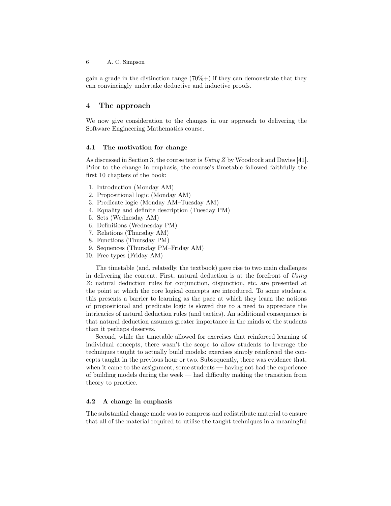gain a grade in the distinction range  $(70\% +)$  if they can demonstrate that they can convincingly undertake deductive and inductive proofs.

## 4 The approach

We now give consideration to the changes in our approach to delivering the Software Engineering Mathematics course.

#### 4.1 The motivation for change

As discussed in Section 3, the course text is Using Z by Woodcock and Davies [41]. Prior to the change in emphasis, the course's timetable followed faithfully the first 10 chapters of the book:

- 1. Introduction (Monday AM)
- 2. Propositional logic (Monday AM)
- 3. Predicate logic (Monday AM–Tuesday AM)
- 4. Equality and definite description (Tuesday PM)
- 5. Sets (Wednesday AM)
- 6. Definitions (Wednesday PM)
- 7. Relations (Thursday AM)
- 8. Functions (Thursday PM)
- 9. Sequences (Thursday PM–Friday AM)
- 10. Free types (Friday AM)

The timetable (and, relatedly, the textbook) gave rise to two main challenges in delivering the content. First, natural deduction is at the forefront of Using Z: natural deduction rules for conjunction, disjunction, etc. are presented at the point at which the core logical concepts are introduced. To some students, this presents a barrier to learning as the pace at which they learn the notions of propositional and predicate logic is slowed due to a need to appreciate the intricacies of natural deduction rules (and tactics). An additional consequence is that natural deduction assumes greater importance in the minds of the students than it perhaps deserves.

Second, while the timetable allowed for exercises that reinforced learning of individual concepts, there wasn't the scope to allow students to leverage the techniques taught to actually build models: exercises simply reinforced the concepts taught in the previous hour or two. Subsequently, there was evidence that, when it came to the assignment, some students — having not had the experience of building models during the week — had difficulty making the transition from theory to practice.

## 4.2 A change in emphasis

The substantial change made was to compress and redistribute material to ensure that all of the material required to utilise the taught techniques in a meaningful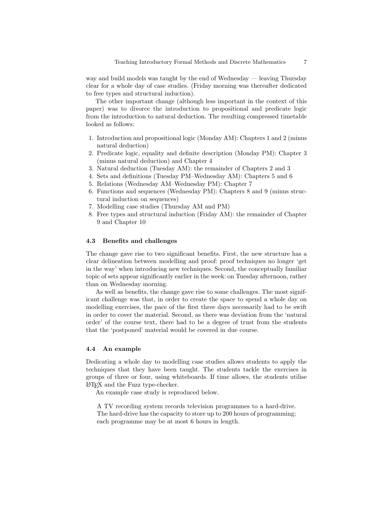way and build models was taught by the end of Wednesday — leaving Thursday clear for a whole day of case studies. (Friday morning was thereafter dedicated to free types and structural induction).

The other important change (although less important in the context of this paper) was to divorce the introduction to propositional and predicate logic from the introduction to natural deduction. The resulting compressed timetable looked as follows:

- 1. Introduction and propositional logic (Monday AM): Chapters 1 and 2 (minus natural deduction)
- 2. Predicate logic, equality and definite description (Monday PM): Chapter 3 (minus natural deduction) and Chapter 4
- 3. Natural deduction (Tuesday AM): the remainder of Chapters 2 and 3
- 4. Sets and definitions (Tuesday PM–Wednesday AM): Chapters 5 and 6
- 5. Relations (Wednesday AM–Wednesday PM): Chapter 7
- 6. Functions and sequences (Wednesday PM): Chapters 8 and 9 (minus structural induction on sequences)
- 7. Modelling case studies (Thursday AM and PM)
- 8. Free types and structural induction (Friday AM): the remainder of Chapter 9 and Chapter 10

#### 4.3 Benefits and challenges

The change gave rise to two significant benefits. First, the new structure has a clear delineation between modelling and proof: proof techniques no longer 'get in the way' when introducing new techniques. Second, the conceptually familiar topic of sets appear significantly earlier in the week: on Tuesday afternoon, rather than on Wednesday morning.

As well as benefits, the change gave rise to some challenges. The most significant challenge was that, in order to create the space to spend a whole day on modelling exercises, the pace of the first three days necessarily had to be swift in order to cover the material. Second, as there was deviation from the 'natural order' of the course text, there had to be a degree of trust from the students that the 'postponed' material would be covered in due course.

#### 4.4 An example

Dedicating a whole day to modelling case studies allows students to apply the techniques that they have been taught. The students tackle the exercises in groups of three or four, using whiteboards. If time allows, the students utilise LATEX and the Fuzz type-checker.

An example case study is reproduced below.

A TV recording system records television programmes to a hard-drive. The hard-drive has the capacity to store up to 200 hours of programming; each programme may be at most 6 hours in length.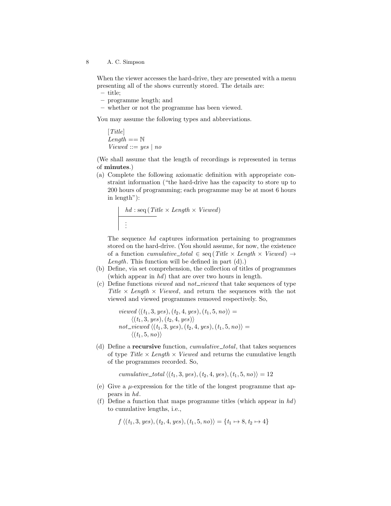When the viewer accesses the hard-drive, they are presented with a menu presenting all of the shows currently stored. The details are:

- title;
- programme length; and
- whether or not the programme has been viewed.

You may assume the following types and abbreviations.

 $[Title]$  $Length == N$ Viewed  $\cdots = yes \mid no$ 

(We shall assume that the length of recordings is represented in terms of minutes.)

(a) Complete the following axiomatic definition with appropriate constraint information ("the hard-drive has the capacity to store up to 200 hours of programming; each programme may be at most 6 hours in length"):

$$
\frac{hd:\text{seq}(\text{Title} \times \text{Length} \times \text{Viewed})}{:}
$$

The sequence hd captures information pertaining to programmes stored on the hard-drive. (You should assume, for now, the existence of a function *cumulative\_total*  $\in$  seq (*Title*  $\times$  *Length*  $\times$  *Viewed*)  $\rightarrow$ *Length.* This function will be defined in part  $(d)$ .)

- (b) Define, via set comprehension, the collection of titles of programmes (which appear in  $hd$ ) that are over two hours in length.
- (c) Define functions *viewed* and  $not\_viewed$  that take sequences of type Title  $\times$  Length  $\times$  Viewed, and return the sequences with the not viewed and viewed programmes removed respectively. So,

$$
\begin{array}{ll}\text{viewed }\langle (t_1,3,\text{yes}),(t_2,4,\text{yes}),(t_1,5,no)\rangle= \\ \langle (t_1,3,\text{yes}),(t_2,4,\text{yes})\rangle \\ \text{not\_viewed }\langle (t_1,3,\text{yes}),(t_2,4,\text{yes}),(t_1,5,no)\rangle= \\ \langle (t_1,5,no)\rangle\end{array}
$$

(d) Define a **recursive** function, *cumulative\_total*, that takes sequences of type Title  $\times$  Length  $\times$  Viewed and returns the cumulative length of the programmes recorded. So,

cumulative total  $\langle (t_1, 3, yes), (t_2, 4, yes), (t_1, 5, no) \rangle = 12$ 

- (e) Give a  $\mu$ -expression for the title of the longest programme that appears in hd.
- (f) Define a function that maps programme titles (which appear in  $hd$ ) to cumulative lengths, i.e.,

$$
f \langle (t_1, 3, yes), (t_2, 4, yes), (t_1, 5, no) \rangle = \{ t_1 \mapsto 8, t_2 \mapsto 4 \}
$$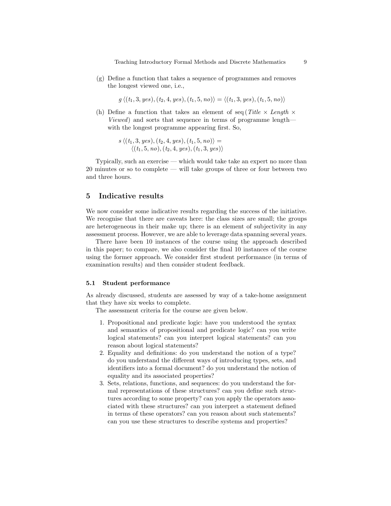Teaching Introductory Formal Methods and Discrete Mathematics 9

(g) Define a function that takes a sequence of programmes and removes the longest viewed one, i.e.,

 $g \langle (t_1, 3, yes), (t_2, 4, yes), (t_1, 5, no) \rangle = \langle (t_1, 3, yes), (t_1, 5, no) \rangle$ 

(h) Define a function that takes an element of seq (Title  $\times$  Length  $\times$ Viewed) and sorts that sequence in terms of programme lengthwith the longest programme appearing first. So,

$$
s\langle (t_1,3,yes), (t_2,4,yes), (t_1,5,no) \rangle = \\ \langle (t_1,5,no), (t_2,4,yes), (t_1,3,yes) \rangle
$$

Typically, such an exercise — which would take take an expert no more than 20 minutes or so to complete — will take groups of three or four between two and three hours.

## 5 Indicative results

We now consider some indicative results regarding the success of the initiative. We recognise that there are caveats here: the class sizes are small; the groups are heterogeneous in their make up; there is an element of subjectivity in any assessment process. However, we are able to leverage data spanning several years.

There have been 10 instances of the course using the approach described in this paper; to compare, we also consider the final 10 instances of the course using the former approach. We consider first student performance (in terms of examination results) and then consider student feedback.

#### 5.1 Student performance

As already discussed, students are assessed by way of a take-home assignment that they have six weeks to complete.

The assessment criteria for the course are given below.

- 1. Propositional and predicate logic: have you understood the syntax and semantics of propositional and predicate logic? can you write logical statements? can you interpret logical statements? can you reason about logical statements?
- 2. Equality and definitions: do you understand the notion of a type? do you understand the different ways of introducing types, sets, and identifiers into a formal document? do you understand the notion of equality and its associated properties?
- 3. Sets, relations, functions, and sequences: do you understand the formal representations of these structures? can you define such structures according to some property? can you apply the operators associated with these structures? can you interpret a statement defined in terms of these operators? can you reason about such statements? can you use these structures to describe systems and properties?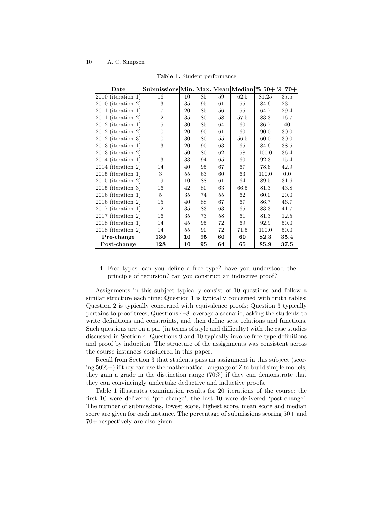| Date                 | $\text{Submissions} \text{Min.} \text{Max.} \text{Mean} \text{Median} \%$ 50+ |    |    |    |      |       | $%70+$ |
|----------------------|-------------------------------------------------------------------------------|----|----|----|------|-------|--------|
| $2010$ (iteration 1) | 16                                                                            | 10 | 85 | 59 | 62.5 | 81.25 | 37.5   |
| $2010$ (iteration 2) | 13                                                                            | 35 | 95 | 61 | 55   | 84.6  | 23.1   |
| $2011$ (iteration 1) | 17                                                                            | 20 | 85 | 56 | 55   | 64.7  | 29.4   |
| $2011$ (iteration 2) | 12                                                                            | 35 | 80 | 58 | 57.5 | 83.3  | 16.7   |
| $2012$ (iteration 1) | 15                                                                            | 30 | 85 | 64 | 60   | 86.7  | 40     |
| $2012$ (iteration 2) | 10                                                                            | 20 | 90 | 61 | 60   | 90.0  | 30.0   |
| $2012$ (iteration 3) | 10                                                                            | 30 | 80 | 55 | 56.5 | 60.0  | 30.0   |
| $2013$ (iteration 1) | 13                                                                            | 20 | 90 | 63 | 65   | 84.6  | 38.5   |
| $2013$ (iteration 2) | 11                                                                            | 50 | 80 | 62 | 58   | 100.0 | 36.4   |
| $2014$ (iteration 1) | 13                                                                            | 33 | 94 | 65 | 60   | 92.3  | 15.4   |
| $2014$ (iteration 2) | 14                                                                            | 40 | 95 | 67 | 67   | 78.6  | 42.9   |
| $2015$ (iteration 1) | 3                                                                             | 55 | 63 | 60 | 63   | 100.0 | 0.0    |
| $2015$ (iteration 2) | 19                                                                            | 10 | 88 | 61 | 64   | 89.5  | 31.6   |
| $2015$ (iteration 3) | 16                                                                            | 42 | 80 | 63 | 66.5 | 81.3  | 43.8   |
| $2016$ (iteration 1) | 5                                                                             | 35 | 74 | 55 | 62   | 60.0  | 20.0   |
| $2016$ (iteration 2) | 15                                                                            | 40 | 88 | 67 | 67   | 86.7  | 46.7   |
| $2017$ (iteration 1) | 12                                                                            | 35 | 83 | 63 | 65   | 83.3  | 41.7   |
| $2017$ (iteration 2) | 16                                                                            | 35 | 73 | 58 | 61   | 81.3  | 12.5   |
| $2018$ (iteration 1) | 14                                                                            | 45 | 95 | 72 | 69   | 92.9  | 50.0   |
| $2018$ (iteration 2) | 14                                                                            | 55 | 90 | 72 | 71.5 | 100.0 | 50.0   |
| Pre-change           | 130                                                                           | 10 | 95 | 60 | 60   | 82.3  | 35.4   |
| Post-change          | 128                                                                           | 10 | 95 | 64 | 65   | 85.9  | 37.5   |

Table 1. Student performance

## 4. Free types: can you define a free type? have you understood the principle of recursion? can you construct an inductive proof?

Assignments in this subject typically consist of 10 questions and follow a similar structure each time: Question 1 is typically concerned with truth tables; Question 2 is typically concerned with equivalence proofs; Question 3 typically pertains to proof trees; Questions 4–8 leverage a scenario, asking the students to write definitions and constraints, and then define sets, relations and functions. Such questions are on a par (in terms of style and difficulty) with the case studies discussed in Section 4. Questions 9 and 10 typically involve free type definitions and proof by induction. The structure of the assignments was consistent across the course instances considered in this paper.

Recall from Section 3 that students pass an assignment in this subject (scoring  $50\%$  + if they can use the mathematical language of Z to build simple models; they gain a grade in the distinction range (70%) if they can demonstrate that they can convincingly undertake deductive and inductive proofs.

Table 1 illustrates examination results for 20 iterations of the course: the first 10 were delivered 'pre-change'; the last 10 were delivered 'post-change'. The number of submissions, lowest score, highest score, mean score and median score are given for each instance. The percentage of submissions scoring 50+ and 70+ respectively are also given.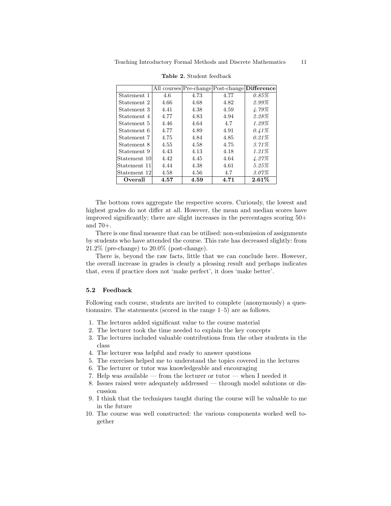|              |      |      | All courses Pre-change Post-change Difference |          |
|--------------|------|------|-----------------------------------------------|----------|
| Statement 1  | 4.6  | 4.73 | 4.77                                          | $0.85\%$ |
| Statement 2  | 4.66 | 4.68 | 4.82                                          | $2.99\%$ |
| Statement 3  | 4.41 | 4.38 | 4.59                                          | $4.79\%$ |
| Statement 4  | 4.77 | 4.83 | 4.94                                          | 2.28%    |
| Statement 5  | 4.46 | 4.64 | 4.7                                           | 1.29%    |
| Statement 6  | 4.77 | 4.89 | 4.91                                          | 0.41%    |
| Statement 7  | 4.75 | 4.84 | 4.85                                          | 0.21%    |
| Statement 8  | 4.55 | 4.58 | 4.75                                          | 3.71%    |
| Statement 9  | 4.43 | 4.13 | 4.18                                          | 1.21%    |
| Statement 10 | 4.42 | 4.45 | 4.64                                          | $4.27\%$ |
| Statement 11 | 4.44 | 4.38 | 4.61                                          | 5.25%    |
| Statement 12 | 4.58 | 4.56 | 4.7                                           | 3.07%    |
| Overall      | 4.57 | 4.59 | 4.71                                          | $2.61\%$ |

Table 2. Student feedback

The bottom rows aggregate the respective scores. Curiously, the lowest and highest grades do not differ at all. However, the mean and median scores have improved significantly; there are slight increases in the percentages scoring 50+ and 70+.

There is one final measure that can be utilised: non-submission of assignments by students who have attended the course. This rate has decreased slightly: from 21.2% (pre-change) to 20.0% (post-change).

There is, beyond the raw facts, little that we can conclude here. However, the overall increase in grades is clearly a pleasing result and perhaps indicates that, even if practice does not 'make perfect', it does 'make better'.

#### 5.2 Feedback

Following each course, students are invited to complete (anonymously) a questionnaire. The statements (scored in the range 1–5) are as follows.

- 1. The lectures added significant value to the course material
- 2. The lecturer took the time needed to explain the key concepts
- 3. The lectures included valuable contributions from the other students in the class
- 4. The lecturer was helpful and ready to answer questions
- 5. The exercises helped me to understand the topics covered in the lectures
- 6. The lecturer or tutor was knowledgeable and encouraging
- 7. Help was available from the lecturer or tutor when I needed it
- 8. Issues raised were adequately addressed through model solutions or discussion
- 9. I think that the techniques taught during the course will be valuable to me in the future
- 10. The course was well constructed: the various components worked well together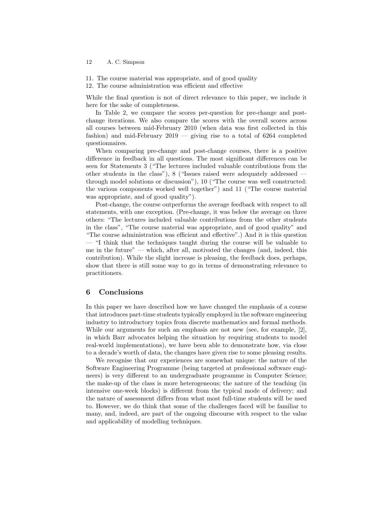- 12 A. C. Simpson
- 11. The course material was appropriate, and of good quality
- 12. The course administration was efficient and effective

While the final question is not of direct relevance to this paper, we include it here for the sake of completeness.

In Table 2, we compare the scores per-question for pre-change and postchange iterations. We also compare the scores with the overall scores across all courses between mid-February 2010 (when data was first collected in this fashion) and mid-February  $2019$  — giving rise to a total of 6264 completed questionnaires.

When comparing pre-change and post-change courses, there is a positive difference in feedback in all questions. The most significant differences can be seen for Statements 3 ("The lectures included valuable contributions from the other students in the class"), 8 ("Issues raised were adequately addressed through model solutions or discussion"), 10 ("The course was well constructed: the various components worked well together") and 11 ("The course material was appropriate, and of good quality").

Post-change, the course outperforms the average feedback with respect to all statements, with one exception. (Pre-change, it was below the average on three others: "The lectures included valuable contributions from the other students in the class", "The course material was appropriate, and of good quality" and "The course administration was efficient and effective".) And it is this question — "I think that the techniques taught during the course will be valuable to me in the future" — which, after all, motivated the changes (and, indeed, this contribution). While the slight increase is pleasing, the feedback does, perhaps, show that there is still some way to go in terms of demonstrating relevance to practitioners.

## 6 Conclusions

In this paper we have described how we have changed the emphasis of a course that introduces part-time students typically employed in the software engineering industry to introductory topics from discrete mathematics and formal methods. While our arguments for such an emphasis are not new (see, for example, [2], in which Barr advocates helping the situation by requiring students to model real-world implementations), we have been able to demonstrate how, via close to a decade's worth of data, the changes have given rise to some pleasing results.

We recognise that our experiences are somewhat unique: the nature of the Software Engineering Programme (being targeted at professional software engineers) is very different to an undergraduate programme in Computer Science; the make-up of the class is more heterogeneous; the nature of the teaching (in intensive one-week blocks) is different from the typical mode of delivery; and the nature of assessment differs from what most full-time students will be used to. However, we do think that some of the challenges faced will be familiar to many, and, indeed, are part of the ongoing discourse with respect to the value and applicability of modelling techniques.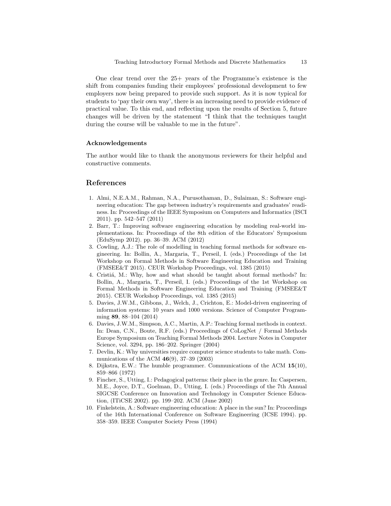One clear trend over the 25+ years of the Programme's existence is the shift from companies funding their employees' professional development to few employers now being prepared to provide such support. As it is now typical for students to 'pay their own way', there is an increasing need to provide evidence of practical value. To this end, and reflecting upon the results of Section 5, future changes will be driven by the statement "I think that the techniques taught during the course will be valuable to me in the future".

## Acknowledgements

The author would like to thank the anonymous reviewers for their helpful and constructive comments.

# References

- 1. Almi, N.E.A.M., Rahman, N.A., Purusothaman, D., Sulaiman, S.: Software engineering education: The gap between industry's requirements and graduates' readiness. In: Proceedings of the IEEE Symposium on Computers and Informatics (ISCI 2011). pp. 542–547 (2011)
- 2. Barr, T.: Improving software engineering education by modeling real-world implementations. In: Proceedings of the 8th edition of the Educators' Symposium (EduSymp 2012). pp. 36–39. ACM (2012)
- 3. Cowling, A.J.: The role of modelling in teaching formal methods for software engineering. In: Bollin, A., Margaria, T., Perseil, I. (eds.) Proceedings of the 1st Workshop on Formal Methods in Software Engineering Education and Training (FMSEE&T 2015). CEUR Workshop Proceedings, vol. 1385 (2015)
- 4. Cristiá, M.: Why, how and what should be taught about formal methods? In: Bollin, A., Margaria, T., Perseil, I. (eds.) Proceedings of the 1st Workshop on Formal Methods in Software Engineering Education and Training (FMSEE&T 2015). CEUR Workshop Proceedings, vol. 1385 (2015)
- 5. Davies, J.W.M., Gibbons, J., Welch, J., Crichton, E.: Model-driven engineering of information systems: 10 years and 1000 versions. Science of Computer Programming 89, 88–104 (2014)
- 6. Davies, J.W.M., Simpson, A.C., Martin, A.P.: Teaching formal methods in context. In: Dean, C.N., Boute, R.F. (eds.) Proceedings of CoLogNet / Formal Methods Europe Symposium on Teaching Formal Methods 2004. Lecture Notes in Computer Science, vol. 3294, pp. 186–202. Springer (2004)
- 7. Devlin, K.: Why universities require computer science students to take math. Communications of the ACM  $46(9)$ , 37-39 (2003)
- 8. Dijkstra, E.W.: The humble programmer. Communications of the ACM 15(10), 859–866 (1972)
- 9. Fincher, S., Utting, I.: Pedagogical patterns: their place in the genre. In: Caspersen, M.E., Joyce, D.T., Goelman, D., Utting, I. (eds.) Proceedings of the 7th Annual SIGCSE Conference on Innovation and Technology in Computer Science Education, (ITiCSE 2002). pp. 199–202. ACM (June 2002)
- 10. Finkelstein, A.: Software engineering education: A place in the sun? In: Proceedings of the 16th International Conference on Software Engineering (ICSE 1994). pp. 358–359. IEEE Computer Society Press (1994)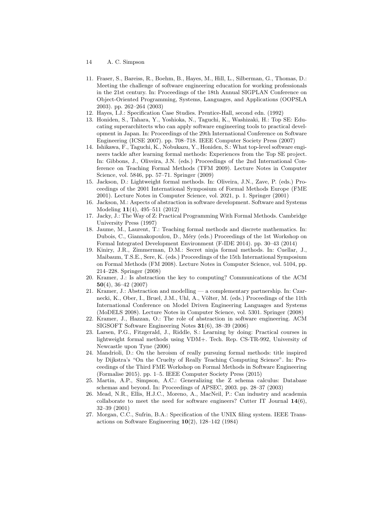- 14 A. C. Simpson
- 11. Fraser, S., Bareiss, R., Boehm, B., Hayes, M., Hill, L., Silberman, G., Thomas, D.: Meeting the challenge of software engineering education for working professionals in the 21st century. In: Proceedings of the 18th Annual SIGPLAN Conference on Object-Oriented Programming, Systems, Languages, and Applications (OOPSLA 2003). pp. 262–264 (2003)
- 12. Hayes, I.J.: Specification Case Studies. Prentice-Hall, second edn. (1992)
- 13. Honiden, S., Tahara, Y., Yoshioka, N., Taguchi, K., Washizaki, H.: Top SE: Educating superarchitects who can apply software engineering tools to practical development in Japan. In: Proceedings of the 29th International Conference on Software Engineering (ICSE 2007). pp. 708–718. IEEE Computer Society Press (2007)
- 14. Ishikawa, F., Taguchi, K., Nobukazu, Y., Honiden, S.: What top-level software engineers tackle after learning formal methods: Experiences from the Top SE project. In: Gibbons, J., Oliveira, J.N. (eds.) Proceedings of the 2nd International Conference on Teaching Formal Methods (TFM 2009). Lecture Notes in Computer Science, vol. 5846, pp. 57–71. Springer (2009)
- 15. Jackson, D.: Lightweight formal methods. In: Oliveira, J.N., Zave, P. (eds.) Proceedings of the 2001 International Symposium of Formal Methods Europe (FME 2001). Lecture Notes in Computer Science, vol. 2021, p. 1. Springer (2001)
- 16. Jackson, M.: Aspects of abstraction in software development. Software and Systems Modeling 11(4), 495–511 (2012)
- 17. Jacky, J.: The Way of Z: Practical Programming With Formal Methods. Cambridge University Press (1997)
- 18. Jaume, M., Laurent, T.: Teaching formal methods and discrete mathematics. In: Dubois, C., Giannakopoulou, D., Méry (eds.) Proceedings of the 1st Workshop on Formal Integrated Development Environment (F-IDE 2014). pp. 30–43 (2014)
- 19. Kiniry, J.R., Zimmerman, D.M.: Secret ninja formal methods. In: Cuellar, J., Maibaum, T.S.E., Sere, K. (eds.) Proceedings of the 15th International Symposium on Formal Methods (FM 2008). Lecture Notes in Computer Science, vol. 5104, pp. 214–228. Springer (2008)
- 20. Kramer, J.: Is abstraction the key to computing? Communications of the ACM 50(4), 36–42 (2007)
- 21. Kramer, J.: Abstraction and modelling a complementary partnership. In: Czarnecki, K., Ober, I., Bruel, J.M., Uhl, A., Völter, M. (eds.) Proceedings of the 11th International Conference on Model Driven Engineering Languages and Systems (MoDELS 2008). Lecture Notes in Computer Science, vol. 5301. Springer (2008)
- 22. Kramer, J., Hazzan, O.: The role of abstraction in software engineering. ACM SIGSOFT Software Engineering Notes 31(6), 38–39 (2006)
- 23. Larsen, P.G., Fitzgerald, J., Riddle, S.: Learning by doing: Practical courses in lightweight formal methods using VDM+. Tech. Rep. CS-TR-992, University of Newcastle upon Tyne (2006)
- 24. Mandrioli, D.: On the heroism of really pursuing formal methods: title inspired by Dijkstra's "On the Cruelty of Really Teaching Computing Science". In: Proceedings of the Third FME Workshop on Formal Methods in Software Engineering (Formalise 2015). pp. 1–5. IEEE Computer Society Press (2015)
- 25. Martin, A.P., Simpson, A.C.: Generalizing the Z schema calculus: Database schemas and beyond. In: Proceedings of APSEC, 2003. pp. 28–37 (2003)
- 26. Mead, N.R., Ellis, H.J.C., Moreno, A., MacNeil, P.: Can industry and academia collaborate to meet the need for software engineers? Cutter IT Journal  $14(6)$ , 32–39 (2001)
- 27. Morgan, C.C., Sufrin, B.A.: Specification of the UNIX filing system. IEEE Transactions on Software Engineering  $10(2)$ , 128–142 (1984)